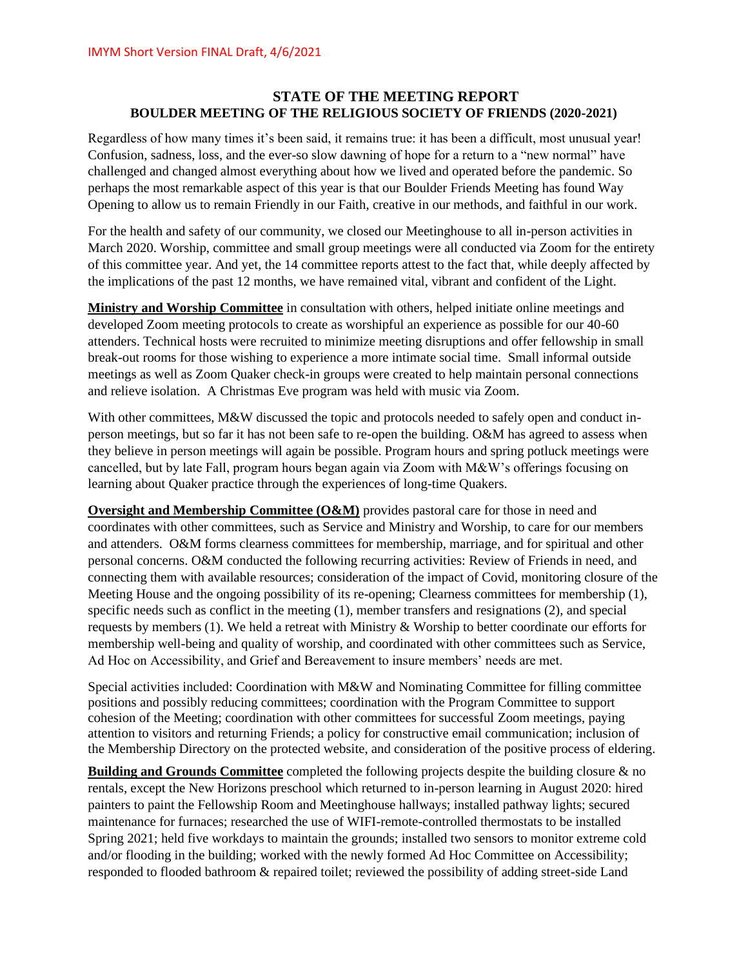## **STATE OF THE MEETING REPORT BOULDER MEETING OF THE RELIGIOUS SOCIETY OF FRIENDS (2020-2021)**

Regardless of how many times it's been said, it remains true: it has been a difficult, most unusual year! Confusion, sadness, loss, and the ever-so slow dawning of hope for a return to a "new normal" have challenged and changed almost everything about how we lived and operated before the pandemic. So perhaps the most remarkable aspect of this year is that our Boulder Friends Meeting has found Way Opening to allow us to remain Friendly in our Faith, creative in our methods, and faithful in our work.

For the health and safety of our community, we closed our Meetinghouse to all in-person activities in March 2020. Worship, committee and small group meetings were all conducted via Zoom for the entirety of this committee year. And yet, the 14 committee reports attest to the fact that, while deeply affected by the implications of the past 12 months, we have remained vital, vibrant and confident of the Light.

**Ministry and Worship Committee** in consultation with others, helped initiate online meetings and developed Zoom meeting protocols to create as worshipful an experience as possible for our 40-60 attenders. Technical hosts were recruited to minimize meeting disruptions and offer fellowship in small break-out rooms for those wishing to experience a more intimate social time. Small informal outside meetings as well as Zoom Quaker check-in groups were created to help maintain personal connections and relieve isolation. A Christmas Eve program was held with music via Zoom.

With other committees, M&W discussed the topic and protocols needed to safely open and conduct inperson meetings, but so far it has not been safe to re-open the building. O&M has agreed to assess when they believe in person meetings will again be possible. Program hours and spring potluck meetings were cancelled, but by late Fall, program hours began again via Zoom with M&W's offerings focusing on learning about Quaker practice through the experiences of long-time Quakers.

**Oversight and Membership Committee (O&M)** provides pastoral care for those in need and coordinates with other committees, such as Service and Ministry and Worship, to care for our members and attenders. O&M forms clearness committees for membership, marriage, and for spiritual and other personal concerns. O&M conducted the following recurring activities: Review of Friends in need, and connecting them with available resources; consideration of the impact of Covid, monitoring closure of the Meeting House and the ongoing possibility of its re-opening; Clearness committees for membership (1), specific needs such as conflict in the meeting (1), member transfers and resignations (2), and special requests by members (1). We held a retreat with Ministry & Worship to better coordinate our efforts for membership well-being and quality of worship, and coordinated with other committees such as Service, Ad Hoc on Accessibility, and Grief and Bereavement to insure members' needs are met.

Special activities included: Coordination with M&W and Nominating Committee for filling committee positions and possibly reducing committees; coordination with the Program Committee to support cohesion of the Meeting; coordination with other committees for successful Zoom meetings, paying attention to visitors and returning Friends; a policy for constructive email communication; inclusion of the Membership Directory on the protected website, and consideration of the positive process of eldering.

**Building and Grounds Committee** completed the following projects despite the building closure & no rentals, except the New Horizons preschool which returned to in-person learning in August 2020: hired painters to paint the Fellowship Room and Meetinghouse hallways; installed pathway lights; secured maintenance for furnaces; researched the use of WIFI-remote-controlled thermostats to be installed Spring 2021; held five workdays to maintain the grounds; installed two sensors to monitor extreme cold and/or flooding in the building; worked with the newly formed Ad Hoc Committee on Accessibility; responded to flooded bathroom & repaired toilet; reviewed the possibility of adding street-side Land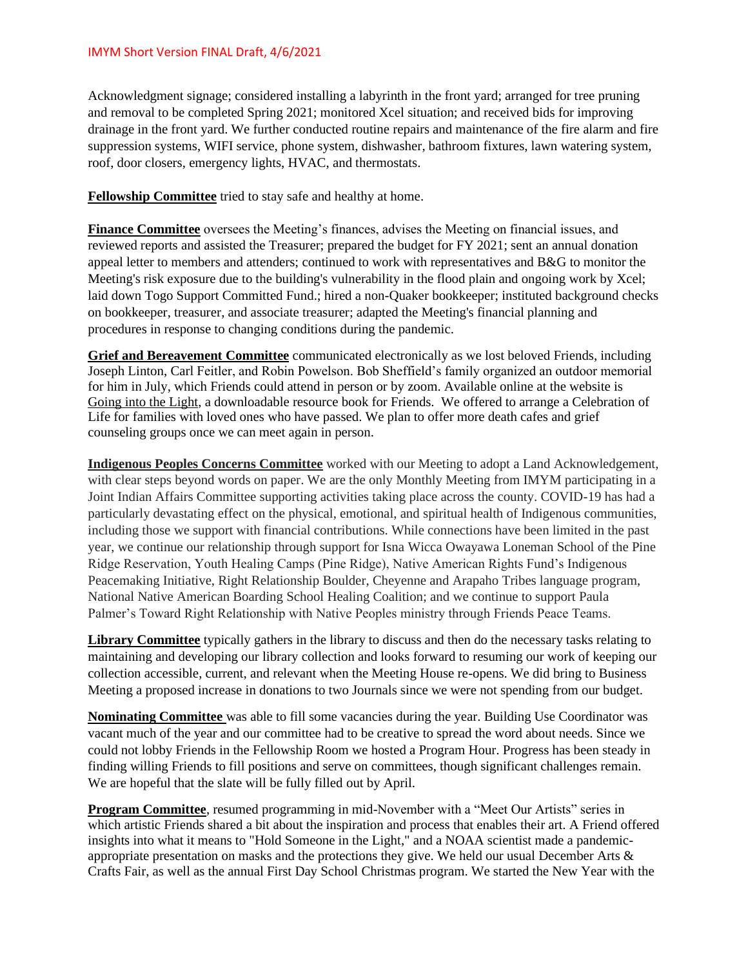Acknowledgment signage; considered installing a labyrinth in the front yard; arranged for tree pruning and removal to be completed Spring 2021; monitored Xcel situation; and received bids for improving drainage in the front yard. We further conducted routine repairs and maintenance of the fire alarm and fire suppression systems, WIFI service, phone system, dishwasher, bathroom fixtures, lawn watering system, roof, door closers, emergency lights, HVAC, and thermostats.

**Fellowship Committee** tried to stay safe and healthy at home.

**Finance Committee** oversees the Meeting's finances, advises the Meeting on financial issues, and reviewed reports and assisted the Treasurer; prepared the budget for FY 2021; sent an annual donation appeal letter to members and attenders; continued to work with representatives and B&G to monitor the Meeting's risk exposure due to the building's vulnerability in the flood plain and ongoing work by Xcel; laid down Togo Support Committed Fund.; hired a non-Quaker bookkeeper; instituted background checks on bookkeeper, treasurer, and associate treasurer; adapted the Meeting's financial planning and procedures in response to changing conditions during the pandemic.

**Grief and Bereavement Committee** communicated electronically as we lost beloved Friends, including Joseph Linton, Carl Feitler, and Robin Powelson. Bob Sheffield's family organized an outdoor memorial for him in July, which Friends could attend in person or by zoom. Available online at the website is Going into the Light, a downloadable resource book for Friends. We offered to arrange a Celebration of Life for families with loved ones who have passed. We plan to offer more death cafes and grief counseling groups once we can meet again in person.

**Indigenous Peoples Concerns Committee** worked with our Meeting to adopt a Land Acknowledgement, with clear steps beyond words on paper. We are the only Monthly Meeting from IMYM participating in a Joint Indian Affairs Committee supporting activities taking place across the county. COVID-19 has had a particularly devastating effect on the physical, emotional, and spiritual health of Indigenous communities, including those we support with financial contributions. While connections have been limited in the past year, we continue our relationship through support for Isna Wicca Owayawa Loneman School of the Pine Ridge Reservation, Youth Healing Camps (Pine Ridge), Native American Rights Fund's Indigenous Peacemaking Initiative, Right Relationship Boulder, Cheyenne and Arapaho Tribes language program, National Native American Boarding School Healing Coalition; and we continue to support Paula Palmer's Toward Right Relationship with Native Peoples ministry through Friends Peace Teams.

**Library Committee** typically gathers in the library to discuss and then do the necessary tasks relating to maintaining and developing our library collection and looks forward to resuming our work of keeping our collection accessible, current, and relevant when the Meeting House re-opens. We did bring to Business Meeting a proposed increase in donations to two Journals since we were not spending from our budget.

**Nominating Committee** was able to fill some vacancies during the year. Building Use Coordinator was vacant much of the year and our committee had to be creative to spread the word about needs. Since we could not lobby Friends in the Fellowship Room we hosted a Program Hour. Progress has been steady in finding willing Friends to fill positions and serve on committees, though significant challenges remain. We are hopeful that the slate will be fully filled out by April.

**Program Committee**, resumed programming in mid-November with a "Meet Our Artists" series in which artistic Friends shared a bit about the inspiration and process that enables their art. A Friend offered insights into what it means to "Hold Someone in the Light," and a NOAA scientist made a pandemicappropriate presentation on masks and the protections they give. We held our usual December Arts & Crafts Fair, as well as the annual First Day School Christmas program. We started the New Year with the